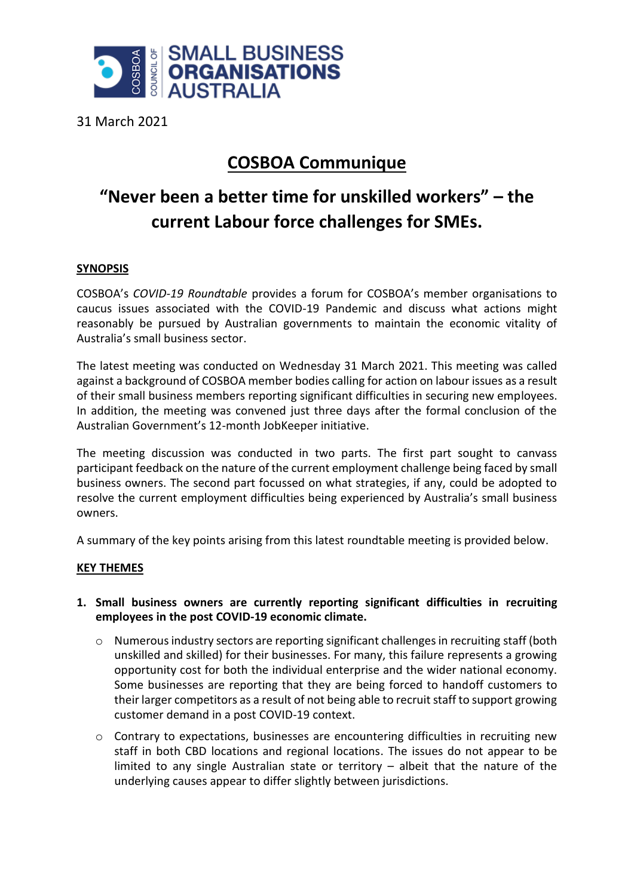

31 March 2021

## **COSBOA Communique**

# **"Never been a better time for unskilled workers" – the current Labour force challenges for SMEs.**

### **SYNOPSIS**

COSBOA's *COVID-19 Roundtable* provides a forum for COSBOA's member organisations to caucus issues associated with the COVID-19 Pandemic and discuss what actions might reasonably be pursued by Australian governments to maintain the economic vitality of Australia's small business sector.

The latest meeting was conducted on Wednesday 31 March 2021. This meeting was called against a background of COSBOA member bodies calling for action on labour issues as a result of their small business members reporting significant difficulties in securing new employees. In addition, the meeting was convened just three days after the formal conclusion of the Australian Government's 12-month JobKeeper initiative.

The meeting discussion was conducted in two parts. The first part sought to canvass participant feedback on the nature of the current employment challenge being faced by small business owners. The second part focussed on what strategies, if any, could be adopted to resolve the current employment difficulties being experienced by Australia's small business owners.

A summary of the key points arising from this latest roundtable meeting is provided below.

### **KEY THEMES**

#### **1. Small business owners are currently reporting significant difficulties in recruiting employees in the post COVID-19 economic climate.**

- o Numerous industry sectors are reporting significant challenges in recruiting staff (both unskilled and skilled) for their businesses. For many, this failure represents a growing opportunity cost for both the individual enterprise and the wider national economy. Some businesses are reporting that they are being forced to handoff customers to their larger competitors as a result of not being able to recruit staff to support growing customer demand in a post COVID-19 context.
- o Contrary to expectations, businesses are encountering difficulties in recruiting new staff in both CBD locations and regional locations. The issues do not appear to be limited to any single Australian state or territory – albeit that the nature of the underlying causes appear to differ slightly between jurisdictions.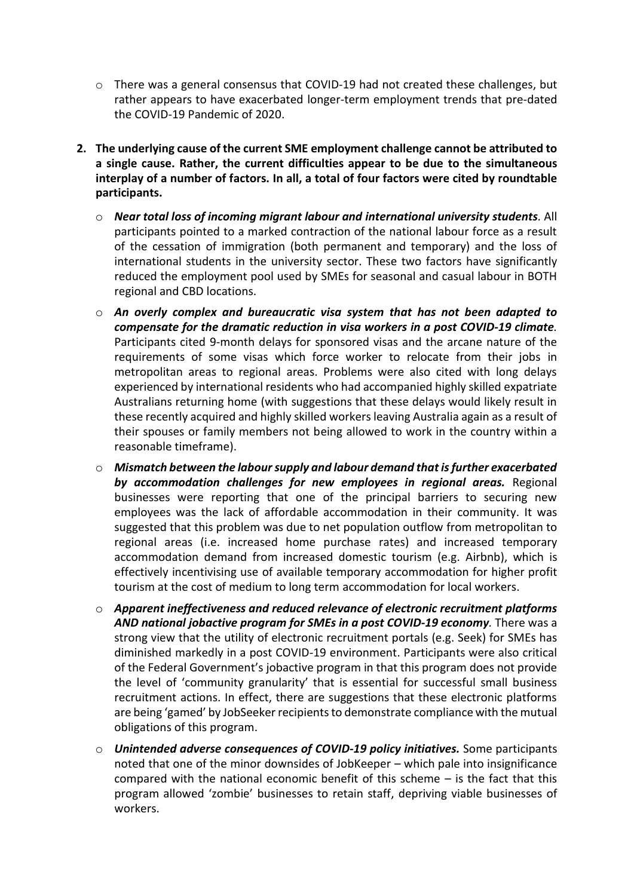- o There was a general consensus that COVID-19 had not created these challenges, but rather appears to have exacerbated longer-term employment trends that pre-dated the COVID-19 Pandemic of 2020.
- **2. The underlying cause of the current SME employment challenge cannot be attributed to a single cause. Rather, the current difficulties appear to be due to the simultaneous interplay of a number of factors. In all, a total of four factors were cited by roundtable participants.**
	- o *Near total loss of incoming migrant labour and international university students.* All participants pointed to a marked contraction of the national labour force as a result of the cessation of immigration (both permanent and temporary) and the loss of international students in the university sector. These two factors have significantly reduced the employment pool used by SMEs for seasonal and casual labour in BOTH regional and CBD locations.
	- o *An overly complex and bureaucratic visa system that has not been adapted to compensate for the dramatic reduction in visa workers in a post COVID-19 climate.* Participants cited 9-month delays for sponsored visas and the arcane nature of the requirements of some visas which force worker to relocate from their jobs in metropolitan areas to regional areas. Problems were also cited with long delays experienced by international residents who had accompanied highly skilled expatriate Australians returning home (with suggestions that these delays would likely result in these recently acquired and highly skilled workers leaving Australia again as a result of their spouses or family members not being allowed to work in the country within a reasonable timeframe).
	- o *Mismatch between the labour supply and labour demand that is further exacerbated by accommodation challenges for new employees in regional areas.* Regional businesses were reporting that one of the principal barriers to securing new employees was the lack of affordable accommodation in their community. It was suggested that this problem was due to net population outflow from metropolitan to regional areas (i.e. increased home purchase rates) and increased temporary accommodation demand from increased domestic tourism (e.g. Airbnb), which is effectively incentivising use of available temporary accommodation for higher profit tourism at the cost of medium to long term accommodation for local workers.
	- o *Apparent ineffectiveness and reduced relevance of electronic recruitment platforms AND national jobactive program for SMEs in a post COVID-19 economy.* There was a strong view that the utility of electronic recruitment portals (e.g. Seek) for SMEs has diminished markedly in a post COVID-19 environment. Participants were also critical of the Federal Government's jobactive program in that this program does not provide the level of 'community granularity' that is essential for successful small business recruitment actions. In effect, there are suggestions that these electronic platforms are being 'gamed' by JobSeeker recipientsto demonstrate compliance with the mutual obligations of this program.
	- o *Unintended adverse consequences of COVID-19 policy initiatives.* Some participants noted that one of the minor downsides of JobKeeper – which pale into insignificance compared with the national economic benefit of this scheme – is the fact that this program allowed 'zombie' businesses to retain staff, depriving viable businesses of workers.